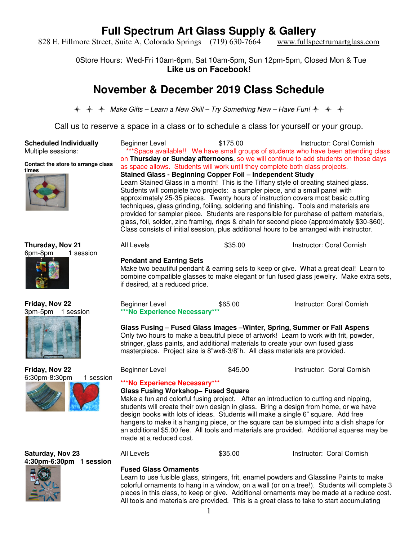828 E. Fillmore Street, Suite A, Colorado Springs (719) 630-7664 www.fullspectrumartglass.com

0Store Hours: Wed-Fri 10am-6pm, Sat 10am-5pm, Sun 12pm-5pm, Closed Mon & Tue **Like us on Facebook!** 

## **November & December 2019 Class Schedule**

 $\div$   $\div$  Make Gifts – Learn a New Skill – Try Something New – Have Fun!  $\div$   $\div$   $\div$ 

Call us to reserve a space in a class or to schedule a class for yourself or your group.

**Scheduled Individually** Multiple sessions:

**times**

**Contact the store to arrange class** 

Beginner Level \$175.00 Instructor: Coral Cornish \*Space available!! We have small groups of students who have been attending class on **Thursday or Sunday afternoons**, so we will continue to add students on those days as space allows. Students will work until they complete both class projects. **Stained Glass - Beginning Copper Foil – Independent Study**  Learn Stained Glass in a month! This is the Tiffany style of creating stained glass. Students will complete two projects: a sampler piece, and a small panel with approximately 25-35 pieces. Twenty hours of instruction covers most basic cutting techniques, glass grinding, foiling, soldering and finishing. Tools and materials are provided for sampler piece. Students are responsible for purchase of pattern materials, glass, foil, solder, zinc framing, rings & chain for second piece (approximately \$30-\$60). Class consists of initial session, plus additional hours to be arranged with instructor.





**Friday, Nov 22** 3pm-5pm 1 session





All Levels **635.00** S35.00 **Instructor: Coral Cornish** 

#### **Pendant and Earring Sets**

Make two beautiful pendant & earring sets to keep or give. What a great deal! Learn to combine compatible glasses to make elegant or fun fused glass jewelry. Make extra sets, if desired, at a reduced price.

Beginner Level **\$65.00 Instructor: Coral Cornish \*\*\*No Experience Necessary\*\*\*** 

**Glass Fusing – Fused Glass Images –Winter, Spring, Summer or Fall Aspens**  Only two hours to make a beautiful piece of artwork! Learn to work with frit, powder, stringer, glass paints, and additional materials to create your own fused glass masterpiece. Project size is 8"wx6-3/8"h. All class materials are provided.

Beginner Level **\$45.00** Instructor: Coral Cornish

### **\*\*\*No Experience Necessary\*\*\***

**Glass Fusing Workshop– Fused Square** 

Make a fun and colorful fusing project. After an introduction to cutting and nipping, students will create their own design in glass. Bring a design from home, or we have design books with lots of ideas. Students will make a single 6" square. Add free hangers to make it a hanging piece, or the square can be slumped into a dish shape for an additional \$5.00 fee. All tools and materials are provided. Additional squares may be made at a reduced cost.

All Levels **\$35.00 Instructor: Coral Cornish** 

**Saturday, Nov 23 4:30pm-6:30pm 1 session** 



### **Fused Glass Ornaments**

Learn to use fusible glass, stringers, frit, enamel powders and Glassline Paints to make colorful ornaments to hang in a window, on a wall (or on a tree!). Students will complete 3 pieces in this class, to keep or give. Additional ornaments may be made at a reduce cost. All tools and materials are provided. This is a great class to take to start accumulating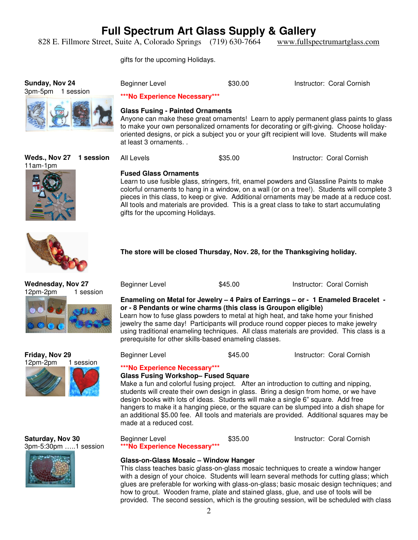828 E. Fillmore Street, Suite A, Colorado Springs (719) 630-7664 www.fullspectrumartglass.com

gifts for the upcoming Holidays.

**Sunday, Nov 24** 3pm-5pm 1 session Beginner Level **\$30.00** Instructor: Coral Cornish **\*\*\*No Experience Necessary\*\*\*** 

**Glass Fusing - Painted Ornaments** 

Anyone can make these great ornaments! Learn to apply permanent glass paints to glass to make your own personalized ornaments for decorating or gift-giving. Choose holidayoriented designs, or pick a subject you or your gift recipient will love. Students will make at least 3 ornaments. .

All Levels **635.00** S35.00 **Instructor: Coral Cornish** 

Learn to use fusible glass, stringers, frit, enamel powders and Glassline Paints to make colorful ornaments to hang in a window, on a wall (or on a tree!). Students will complete 3 pieces in this class, to keep or give. Additional ornaments may be made at a reduce cost.

**Weds., Nov 27 1 session** 11am-1pm







**The store will be closed Thursday, Nov. 28, for the Thanksgiving holiday.** 

**Wednesday, Nov 27** 12pm-2pm 1 session



**Saturday, Nov 30** 3pm-5:30pm …..1 session



Beginner Level **\$35.00** Instructor: Coral Cornish **\*\*\*No Experience Necessary\*\*\*** 

### **Glass-on-Glass Mosaic – Window Hanger**

This class teaches basic glass-on-glass mosaic techniques to create a window hanger with a design of your choice. Students will learn several methods for cutting glass; which glues are preferable for working with glass-on-glass; basic mosaic design techniques; and how to grout. Wooden frame, plate and stained glass, glue, and use of tools will be provided. The second session, which is the grouting session, will be scheduled with class

#### All tools and materials are provided. This is a great class to take to start accumulating gifts for the upcoming Holidays.

**Fused Glass Ornaments** 

Beginner Level **\$45.00** S45.00 **Instructor: Coral Cornish** 

### **Enameling on Metal for Jewelry – 4 Pairs of Earrings – or - 1 Enameled Bracelet or - 8 Pendants or wine charms (this class is Groupon eligible)**

Learn how to fuse glass powders to metal at high heat, and take home your finished jewelry the same day! Participants will produce round copper pieces to make jewelry using traditional enameling techniques. All class materials are provided. This class is a prerequisite for other skills-based enameling classes.

Beginner Level **\$45.00** Instructor: Coral Cornish

### **\*\*\*No Experience Necessary\*\*\***

### **Glass Fusing Workshop– Fused Square**

Make a fun and colorful fusing project. After an introduction to cutting and nipping, students will create their own design in glass. Bring a design from home, or we have design books with lots of ideas. Students will make a single 6" square. Add free hangers to make it a hanging piece, or the square can be slumped into a dish shape for an additional \$5.00 fee. All tools and materials are provided. Additional squares may be made at a reduced cost.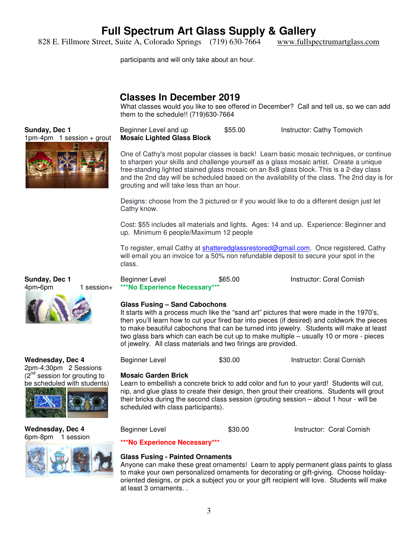828 E. Fillmore Street, Suite A, Colorado Springs (719) 630-7664 www.fullspectrumartglass.com

participants and will only take about an hour.

### **Classes In December 2019**

What classes would you like to see offered in December? Call and tell us, so we can add them to the schedule!! (719)630-7664

Beginner Level and up \$55.00 Instructor: Cathy Tomovich **Mosaic Lighted Glass Block** 

One of Cathy's most popular classes is back! Learn basic mosaic techniques, or continue to sharpen your skills and challenge yourself as a glass mosaic artist. Create a unique free-standing lighted stained glass mosaic on an 8x8 glass block. This is a 2-day class and the 2nd day will be scheduled based on the availability of the class. The 2nd day is for grouting and will take less than an hour.

Designs: choose from the 3 pictured or if you would like to do a different design just let Cathy know.

Cost: \$55 includes all materials and lights. Ages: 14 and up. Experience: Beginner and up. Minimum 6 people/Maximum 12 people

To register, email Cathy at shatteredglassrestored@gmail.com. Once registered, Cathy will email you an invoice for a 50% non refundable deposit to secure your spot in the class.

Beginner Level **\$65.00** Instructor: Coral Cornish **\*\*\*No Experience Necessary\*\*\*** 

#### **Glass Fusing – Sand Cabochons**

It starts with a process much like the "sand art" pictures that were made in the 1970's, then you'll learn how to cut your fired bar into pieces (if desired) and coldwork the pieces to make beautiful cabochons that can be turned into jewelry. Students will make at least two glass bars which can each be cut up to make multiple – usually 10 or more - pieces of jewelry. All class materials and two firings are provided.

Beginner Level \$30.00 Instructor: Coral Cornish

#### **Mosaic Garden Brick**

Learn to embellish a concrete brick to add color and fun to your yard! Students will cut, nip, and glue glass to create their design, then grout their creations. Students will grout their bricks during the second class session (grouting session – about 1 hour - will be scheduled with class participants).

Beginner Level **\$30.00** Instructor: Coral Cornish

**\*\*\*No Experience Necessary\*\*\*** 

### **Glass Fusing - Painted Ornaments**

Anyone can make these great ornaments! Learn to apply permanent glass paints to glass to make your own personalized ornaments for decorating or gift-giving. Choose holidayoriented designs, or pick a subject you or your gift recipient will love. Students will make at least 3 ornaments. .



**Sunday, Dec 1**





**Wednesday, Dec 4** 2pm-4:30pm 2 Sessions  $(2<sup>nd</sup>$  session for grouting to be scheduled with students)



**Wednesday, Dec 4** 6pm-8pm 1 session

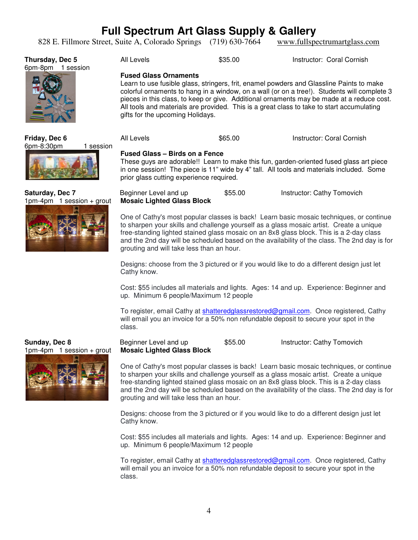828 E. Fillmore Street, Suite A, Colorado Springs (719) 630-7664 www.fullspectrumartglass.com

| Thursday, Dec 5<br>6pm-8pm<br>session |         | All Levels                                                                                                                                                                                                                                                                                                                                                                                                                                            | \$35.00 | Instructor: Coral Cornish |  |  |  |
|---------------------------------------|---------|-------------------------------------------------------------------------------------------------------------------------------------------------------------------------------------------------------------------------------------------------------------------------------------------------------------------------------------------------------------------------------------------------------------------------------------------------------|---------|---------------------------|--|--|--|
| E                                     |         | <b>Fused Glass Ornaments</b><br>Learn to use fusible glass, stringers, frit, enamel powders and Glassline Paints to make<br>colorful ornaments to hang in a window, on a wall (or on a tree!). Students will complete 3<br>pieces in this class, to keep or give. Additional ornaments may be made at a reduce cost.<br>All tools and materials are provided. This is a great class to take to start accumulating<br>gifts for the upcoming Holidays. |         |                           |  |  |  |
| Friday, Dec 6<br>6pm-8:30pm           | session | All Levels                                                                                                                                                                                                                                                                                                                                                                                                                                            | \$65.00 | Instructor: Coral Cornish |  |  |  |

#### **Fused Glass – Birds on a Fence**

These guys are adorable!! Learn to make this fun, garden-oriented fused glass art piece in one session! The piece is 11" wide by 4" tall. All tools and materials included. Some prior glass cutting experience required.

Beginner Level and up \$55.00 Instructor: Cathy Tomovich **Mosaic Lighted Glass Block** 

One of Cathy's most popular classes is back! Learn basic mosaic techniques, or continue to sharpen your skills and challenge yourself as a glass mosaic artist. Create a unique free-standing lighted stained glass mosaic on an 8x8 glass block. This is a 2-day class and the 2nd day will be scheduled based on the availability of the class. The 2nd day is for grouting and will take less than an hour.

Designs: choose from the 3 pictured or if you would like to do a different design just let Cathy know.

Cost: \$55 includes all materials and lights. Ages: 14 and up. Experience: Beginner and up. Minimum 6 people/Maximum 12 people

To register, email Cathy at shatteredglassrestored@gmail.com. Once registered, Cathy will email you an invoice for a 50% non refundable deposit to secure your spot in the class.

Beginner Level and up \$55.00 Instructor: Cathy Tomovich **Mosaic Lighted Glass Block** 

One of Cathy's most popular classes is back! Learn basic mosaic techniques, or continue to sharpen your skills and challenge yourself as a glass mosaic artist. Create a unique free-standing lighted stained glass mosaic on an 8x8 glass block. This is a 2-day class and the 2nd day will be scheduled based on the availability of the class. The 2nd day is for grouting and will take less than an hour.

Designs: choose from the 3 pictured or if you would like to do a different design just let Cathy know.

Cost: \$55 includes all materials and lights. Ages: 14 and up. Experience: Beginner and up. Minimum 6 people/Maximum 12 people

To register, email Cathy at shatteredglassrestored@gmail.com. Once registered, Cathy will email you an invoice for a 50% non refundable deposit to secure your spot in the class.



#### **Saturday, Dec 7** 1pm-4pm 1 session + grout

**Sunday, Dec 8**

1pm-4pm 1 session + grout

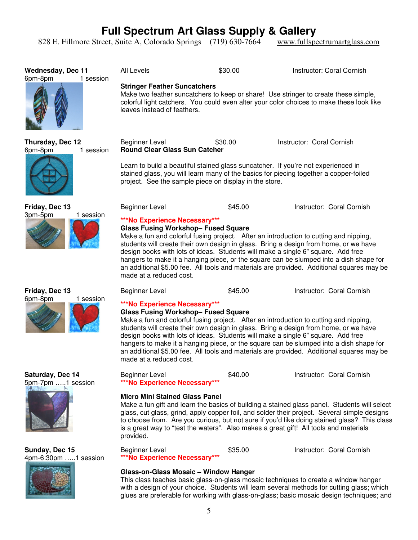828 E. Fillmore Street, Suite A, Colorado Springs (719) 630-7664 www.fullspectrumartglass.com

**Wednesday, Dec 11** 6pm-8pm 1 session All Levels **\$30.00** S30.00 **Instructor: Coral Cornish Stringer Feather Suncatchers**  Make two feather suncatchers to keep or share! Use stringer to create these simple, colorful light catchers. You could even alter your color choices to make these look like leaves instead of feathers. **Thursday, Dec 12** 6pm-8pm 1 session Beginner Level \$30.00 Instructor: Coral Cornish **Round Clear Glass Sun Catcher**  Learn to build a beautiful stained glass suncatcher. If you're not experienced in stained glass, you will learn many of the basics for piecing together a copper-foiled project. See the sample piece on display in the store. **Friday, Dec 13** 3pm-5pm 1 session Beginner Level **\$45.00** Instructor: Coral Cornish **\*\*\*No Experience Necessary\*\*\* Glass Fusing Workshop– Fused Square**  Make a fun and colorful fusing project. After an introduction to cutting and nipping, students will create their own design in glass. Bring a design from home, or we have design books with lots of ideas. Students will make a single 6" square. Add free hangers to make it a hanging piece, or the square can be slumped into a dish shape for an additional \$5.00 fee. All tools and materials are provided. Additional squares may be made at a reduced cost. **Friday, Dec 13** 6pm-8pm 1 session Beginner Level **\$45.00** Instructor: Coral Cornish **\*\*\*No Experience Necessary\*\*\* Glass Fusing Workshop– Fused Square**  Make a fun and colorful fusing project. After an introduction to cutting and nipping, students will create their own design in glass. Bring a design from home, or we have design books with lots of ideas. Students will make a single 6" square. Add free hangers to make it a hanging piece, or the square can be slumped into a dish shape for an additional \$5.00 fee. All tools and materials are provided. Additional squares may be made at a reduced cost. **Saturday, Dec 14** 5pm-7pm …..1 session Beginner Level **\$40.00** S40.00 **Instructor: Coral Cornish \*\*\*No Experience Necessary\*\*\* Micro Mini Stained Glass Panel**  Make a fun gift and learn the basics of building a stained glass panel. Students will select glass, cut glass, grind, apply copper foil, and solder their project. Several simple designs to choose from. Are you curious, but not sure if you'd like doing stained glass? This class is a great way to "test the waters". Also makes a great gift! All tools and materials provided. **Sunday, Dec 15** 4pm-6:30pm …..1 session Beginner Level **\$35.00** S35.00 **Instructor: Coral Cornish \*\*\*No Experience Necessary\*\*\* Glass-on-Glass Mosaic – Window Hanger**  This class teaches basic glass-on-glass mosaic techniques to create a window hanger with a design of your choice. Students will learn several methods for cutting glass; which glues are preferable for working with glass-on-glass; basic mosaic design techniques; and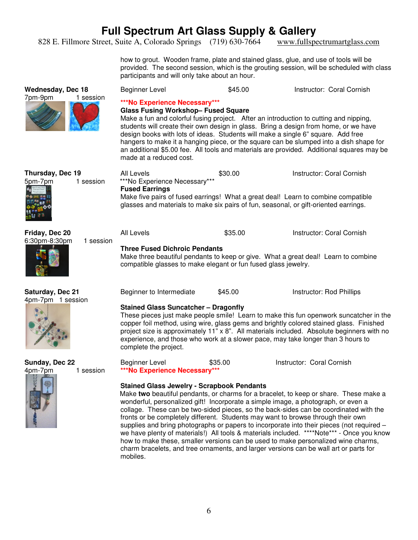828 E. Fillmore Street, Suite A, Colorado Springs (719) 630-7664 www.fullspectrumartglass.com

how to grout. Wooden frame, plate and stained glass, glue, and use of tools will be provided. The second session, which is the grouting session, will be scheduled with class participants and will only take about an hour.

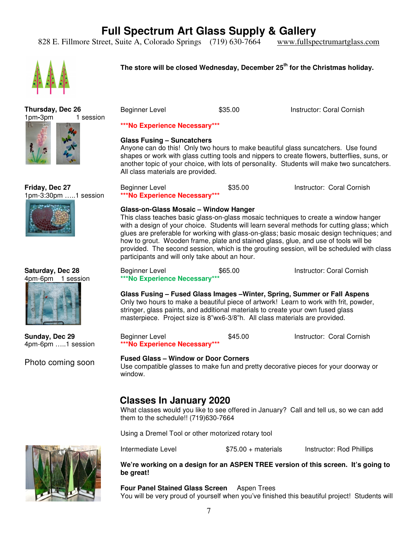828 E. Fillmore Street, Suite A, Colorado Springs (719) 630-7664 www.fullspectrumartglass.com



### **The store will be closed Wednesday, December 25th for the Christmas holiday.**





**Friday, Dec 27** 1pm-3:30pm …..1 session



#### **Saturday, Dec 28** 4pm-6pm 1 session



**Sunday, Dec 29** 4pm-6pm …..1 session

Photo coming soon



Beginner Level \$35.00 Instructor: Coral Cornish

#### **\*\*\*No Experience Necessary\*\*\***

#### **Glass Fusing – Suncatchers**

Anyone can do this! Only two hours to make beautiful glass suncatchers. Use found shapes or work with glass cutting tools and nippers to create flowers, butterflies, suns, or another topic of your choice, with lots of personality. Students will make two suncatchers. All class materials are provided.

| Beginner Level                | \$35.00 | Instructor: Coral Cornish |
|-------------------------------|---------|---------------------------|
| ***No Experience Necessary*** |         |                           |

#### **Glass-on-Glass Mosaic – Window Hanger**

This class teaches basic glass-on-glass mosaic techniques to create a window hanger with a design of your choice. Students will learn several methods for cutting glass; which glues are preferable for working with glass-on-glass; basic mosaic design techniques; and how to grout. Wooden frame, plate and stained glass, glue, and use of tools will be provided. The second session, which is the grouting session, will be scheduled with class participants and will only take about an hour.

Beginner Level **\$65.00** S65.00 **Instructor: Coral Cornish \*\*\*No Experience Necessary\*\*\*** 

**Glass Fusing – Fused Glass Images –Winter, Spring, Summer or Fall Aspens**  Only two hours to make a beautiful piece of artwork! Learn to work with frit, powder, stringer, glass paints, and additional materials to create your own fused glass masterpiece. Project size is 8"wx6-3/8"h. All class materials are provided.

Beginner Level **600 COLL SECON S45.00** Instructor: Coral Cornish **\*\*\*No Experience Necessary\*\*\*** 

#### **Fused Glass – Window or Door Corners**

Use compatible glasses to make fun and pretty decorative pieces for your doorway or window.

### **Classes In January 2020**

What classes would you like to see offered in January? Call and tell us, so we can add them to the schedule!! (719)630-7664

Using a Dremel Tool or other motorized rotary tool

Intermediate Level \$75.00 + materials Instructor: Rod Phillips

**We're working on a design for an ASPEN TREE version of this screen. It's going to be great!** 

**Four Panel Stained Glass Screen** Aspen Trees You will be very proud of yourself when you've finished this beautiful project! Students will

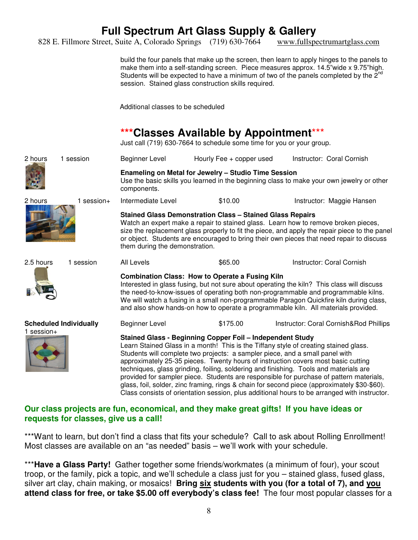828 E. Fillmore Street, Suite A, Colorado Springs (719) 630-7664 www.fullspectrumartglass.com

build the four panels that make up the screen, then learn to apply hinges to the panels to make them into a self-standing screen. Piece measures approx. 14.5"wide x 9.75"high. Students will be expected to have a minimum of two of the panels completed by the  $2^{nd}$ session. Stained glass construction skills required.

Additional classes to be scheduled

### **\*\*\*Classes Available by Appointment**\*\*\*

Just call (719) 630-7664 to schedule some time for you or your group.

| 2 hours                                       | 1 session    | Beginner Level                                                                                                                                                                                                                                                                                                                                                                                                                                                                                                                                                                                                                                                                                             | Hourly Fee + copper used | Instructor: Coral Cornish              |  |  |
|-----------------------------------------------|--------------|------------------------------------------------------------------------------------------------------------------------------------------------------------------------------------------------------------------------------------------------------------------------------------------------------------------------------------------------------------------------------------------------------------------------------------------------------------------------------------------------------------------------------------------------------------------------------------------------------------------------------------------------------------------------------------------------------------|--------------------------|----------------------------------------|--|--|
|                                               |              | Enameling on Metal for Jewelry - Studio Time Session<br>Use the basic skills you learned in the beginning class to make your own jewelry or other<br>components.                                                                                                                                                                                                                                                                                                                                                                                                                                                                                                                                           |                          |                                        |  |  |
| 2 hours                                       | $1$ session+ | Intermediate Level                                                                                                                                                                                                                                                                                                                                                                                                                                                                                                                                                                                                                                                                                         | \$10.00                  | Instructor: Maggie Hansen              |  |  |
|                                               |              | <b>Stained Glass Demonstration Class - Stained Glass Repairs</b><br>Watch an expert make a repair to stained glass. Learn how to remove broken pieces,<br>size the replacement glass properly to fit the piece, and apply the repair piece to the panel<br>or object. Students are encouraged to bring their own pieces that need repair to discuss<br>them during the demonstration.                                                                                                                                                                                                                                                                                                                      |                          |                                        |  |  |
| 2.5 hours                                     | 1 session    | All Levels                                                                                                                                                                                                                                                                                                                                                                                                                                                                                                                                                                                                                                                                                                 | \$65.00                  | Instructor: Coral Cornish              |  |  |
|                                               |              | <b>Combination Class: How to Operate a Fusing Kiln</b><br>Interested in glass fusing, but not sure about operating the kiln? This class will discuss<br>the need-to-know-issues of operating both non-programmable and programmable kilns.<br>We will watch a fusing in a small non-programmable Paragon Quickfire kiln during class,<br>and also show hands-on how to operate a programmable kiln. All materials provided.                                                                                                                                                                                                                                                                                |                          |                                        |  |  |
| <b>Scheduled Individually</b><br>$1$ session+ |              | Beginner Level                                                                                                                                                                                                                                                                                                                                                                                                                                                                                                                                                                                                                                                                                             | \$175.00                 | Instructor: Coral Cornish&Rod Phillips |  |  |
|                                               |              | Stained Glass - Beginning Copper Foil - Independent Study<br>Learn Stained Glass in a month! This is the Tiffany style of creating stained glass.<br>Students will complete two projects: a sampler piece, and a small panel with<br>approximately 25-35 pieces. Twenty hours of instruction covers most basic cutting<br>techniques, glass grinding, foiling, soldering and finishing. Tools and materials are<br>provided for sampler piece. Students are responsible for purchase of pattern materials,<br>glass, foil, solder, zinc framing, rings & chain for second piece (approximately \$30-\$60).<br>Class consists of orientation session, plus additional hours to be arranged with instructor. |                          |                                        |  |  |

### **Our class projects are fun, economical, and they make great gifts! If you have ideas or requests for classes, give us a call!**

\*\*\*Want to learn, but don't find a class that fits your schedule? Call to ask about Rolling Enrollment! Most classes are available on an "as needed" basis – we'll work with your schedule.

\*\*\***Have a Glass Party!** Gather together some friends/workmates (a minimum of four), your scout troop, or the family, pick a topic, and we'll schedule a class just for you – stained glass, fused glass, silver art clay, chain making, or mosaics! **Bring six students with you (for a total of 7), and you attend class for free, or take \$5.00 off everybody's class fee!** The four most popular classes for a